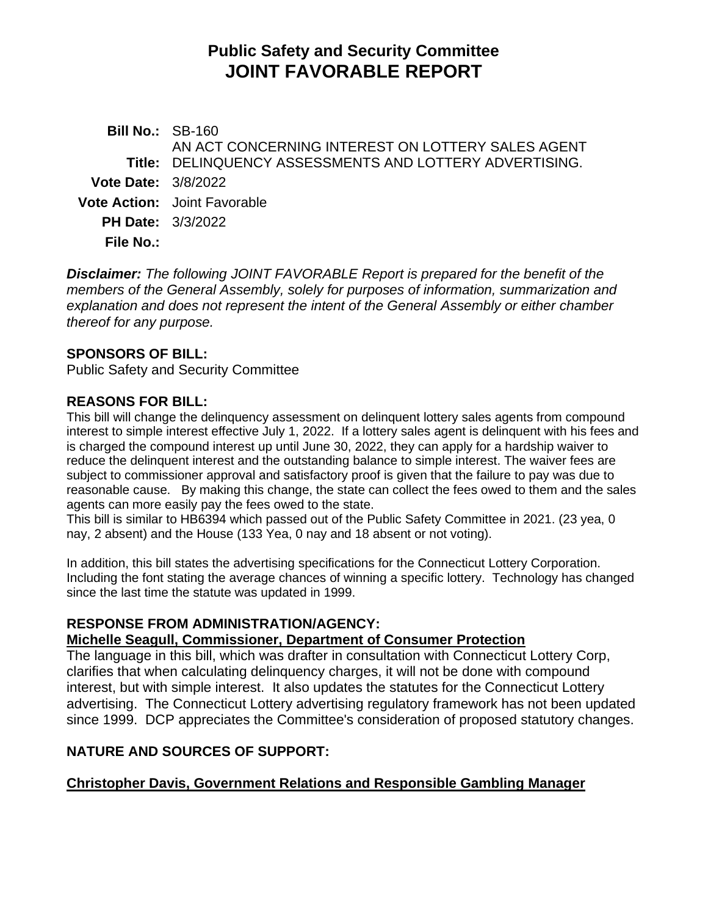# **Public Safety and Security Committee JOINT FAVORABLE REPORT**

**Bill No.:** SB-160 **Title:** DELINQUENCY ASSESSMENTS AND LOTTERY ADVERTISING. AN ACT CONCERNING INTEREST ON LOTTERY SALES AGENT **Vote Date:** 3/8/2022 **Vote Action:** Joint Favorable **PH Date:** 3/3/2022 **File No.:**

*Disclaimer: The following JOINT FAVORABLE Report is prepared for the benefit of the members of the General Assembly, solely for purposes of information, summarization and explanation and does not represent the intent of the General Assembly or either chamber thereof for any purpose.*

## **SPONSORS OF BILL:**

Public Safety and Security Committee

## **REASONS FOR BILL:**

This bill will change the delinquency assessment on delinquent lottery sales agents from compound interest to simple interest effective July 1, 2022. If a lottery sales agent is delinquent with his fees and is charged the compound interest up until June 30, 2022, they can apply for a hardship waiver to reduce the delinquent interest and the outstanding balance to simple interest. The waiver fees are subject to commissioner approval and satisfactory proof is given that the failure to pay was due to reasonable cause. By making this change, the state can collect the fees owed to them and the sales agents can more easily pay the fees owed to the state.

This bill is similar to HB6394 which passed out of the Public Safety Committee in 2021. (23 yea, 0 nay, 2 absent) and the House (133 Yea, 0 nay and 18 absent or not voting).

In addition, this bill states the advertising specifications for the Connecticut Lottery Corporation. Including the font stating the average chances of winning a specific lottery. Technology has changed since the last time the statute was updated in 1999.

# **RESPONSE FROM ADMINISTRATION/AGENCY:**

#### **Michelle Seagull, Commissioner, Department of Consumer Protection**

The language in this bill, which was drafter in consultation with Connecticut Lottery Corp, clarifies that when calculating delinquency charges, it will not be done with compound interest, but with simple interest. It also updates the statutes for the Connecticut Lottery advertising. The Connecticut Lottery advertising regulatory framework has not been updated since 1999. DCP appreciates the Committee's consideration of proposed statutory changes.

# **NATURE AND SOURCES OF SUPPORT:**

#### **Christopher Davis, Government Relations and Responsible Gambling Manager**